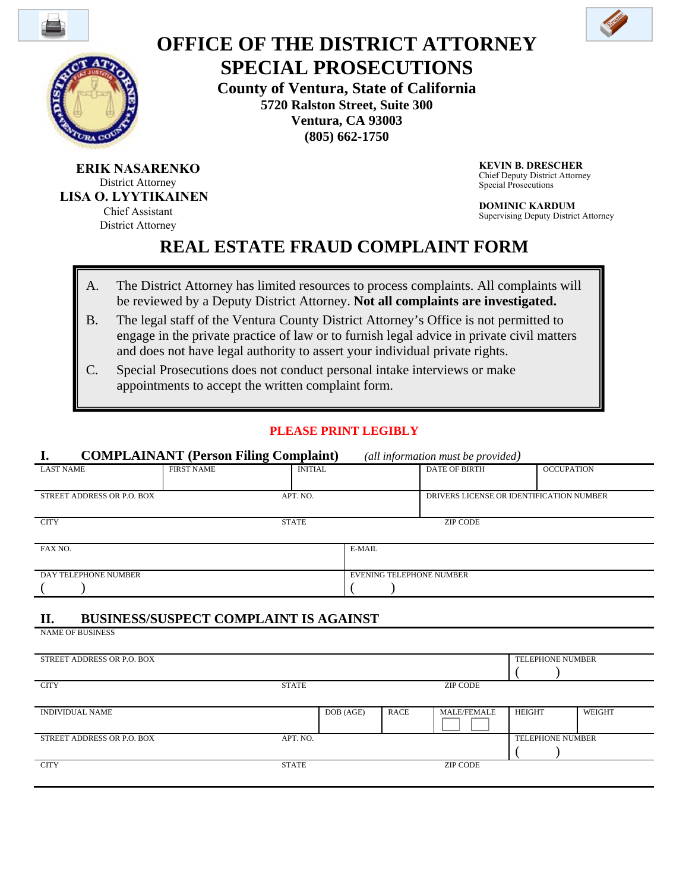

# **OFFICE OF THE DISTRICT ATTORNEY SPECIAL PROSECUTIONS**

**County of Ventura, State of California 5720 Ralston Street, Suite 300 Ventura, CA 93003 (805) 662-1750**

**ERIK NASARENKO** District Attorney **LISA O. LYYTIKAINEN**

Chief Assistant District Attorney

**KEVIN B. DRESCHER** Chief Deputy District Attorney Special Prosecutions

**DOMINIC KARDUM** Supervising Deputy District Attorney

# **REAL ESTATE FRAUD COMPLAINT FORM**

- A. The District Attorney has limited resources to process complaints. All complaints will be reviewed by a Deputy District Attorney. **Not all complaints are investigated.**
- B. The legal staff of the Ventura County District Attorney's Office is not permitted to engage in the private practice of law or to furnish legal advice in private civil matters and does not have legal authority to assert your individual private rights.
- C. Special Prosecutions does not conduct personal intake interviews or make appointments to accept the written complaint form.

### **PLEASE PRINT LEGIBLY**

|                                        | <b>COMPLAINANT (Person Filing Complaint)</b><br>(all information must be provided) |                                              |                |                                          |             |                                 |                         |                   |  |  |
|----------------------------------------|------------------------------------------------------------------------------------|----------------------------------------------|----------------|------------------------------------------|-------------|---------------------------------|-------------------------|-------------------|--|--|
| <b>LAST NAME</b>                       |                                                                                    | <b>FIRST NAME</b>                            | <b>INITIAL</b> |                                          |             | <b>DATE OF BIRTH</b>            |                         | <b>OCCUPATION</b> |  |  |
|                                        |                                                                                    |                                              |                |                                          |             |                                 |                         |                   |  |  |
| STREET ADDRESS OR P.O. BOX<br>APT. NO. |                                                                                    |                                              |                | DRIVERS LICENSE OR IDENTIFICATION NUMBER |             |                                 |                         |                   |  |  |
|                                        |                                                                                    |                                              |                |                                          |             |                                 |                         |                   |  |  |
| <b>CITY</b>                            |                                                                                    |                                              | <b>STATE</b>   |                                          |             | <b>ZIP CODE</b>                 |                         |                   |  |  |
| FAX NO.                                |                                                                                    |                                              |                | E-MAIL                                   |             |                                 |                         |                   |  |  |
|                                        |                                                                                    |                                              |                |                                          |             |                                 |                         |                   |  |  |
| DAY TELEPHONE NUMBER                   |                                                                                    |                                              |                |                                          |             | <b>EVENING TELEPHONE NUMBER</b> |                         |                   |  |  |
|                                        |                                                                                    |                                              |                |                                          |             |                                 |                         |                   |  |  |
|                                        |                                                                                    |                                              |                |                                          |             |                                 |                         |                   |  |  |
| П.                                     |                                                                                    | <b>BUSINESS/SUSPECT COMPLAINT IS AGAINST</b> |                |                                          |             |                                 |                         |                   |  |  |
| <b>NAME OF BUSINESS</b>                |                                                                                    |                                              |                |                                          |             |                                 |                         |                   |  |  |
|                                        |                                                                                    |                                              |                |                                          |             |                                 |                         |                   |  |  |
|                                        | STREET ADDRESS OR P.O. BOX                                                         |                                              |                |                                          |             |                                 | <b>TELEPHONE NUMBER</b> |                   |  |  |
|                                        |                                                                                    |                                              |                |                                          |             |                                 |                         |                   |  |  |
| <b>CITY</b>                            |                                                                                    |                                              | <b>STATE</b>   |                                          |             | <b>ZIP CODE</b>                 |                         |                   |  |  |
|                                        |                                                                                    |                                              |                |                                          |             |                                 |                         |                   |  |  |
| <b>INDIVIDUAL NAME</b>                 |                                                                                    |                                              |                | DOB (AGE)                                | <b>RACE</b> | <b>MALE/FEMALE</b>              | <b>HEIGHT</b>           | <b>WEIGHT</b>     |  |  |
|                                        |                                                                                    |                                              |                |                                          |             |                                 |                         |                   |  |  |
|                                        | STREET ADDRESS OR P.O. BOX                                                         |                                              | APT. NO.       |                                          |             |                                 | TELEPHONE NUMBER        |                   |  |  |
|                                        |                                                                                    |                                              |                |                                          |             |                                 |                         |                   |  |  |
| <b>CITY</b>                            |                                                                                    |                                              | <b>STATE</b>   |                                          |             | <b>ZIP CODE</b>                 |                         |                   |  |  |

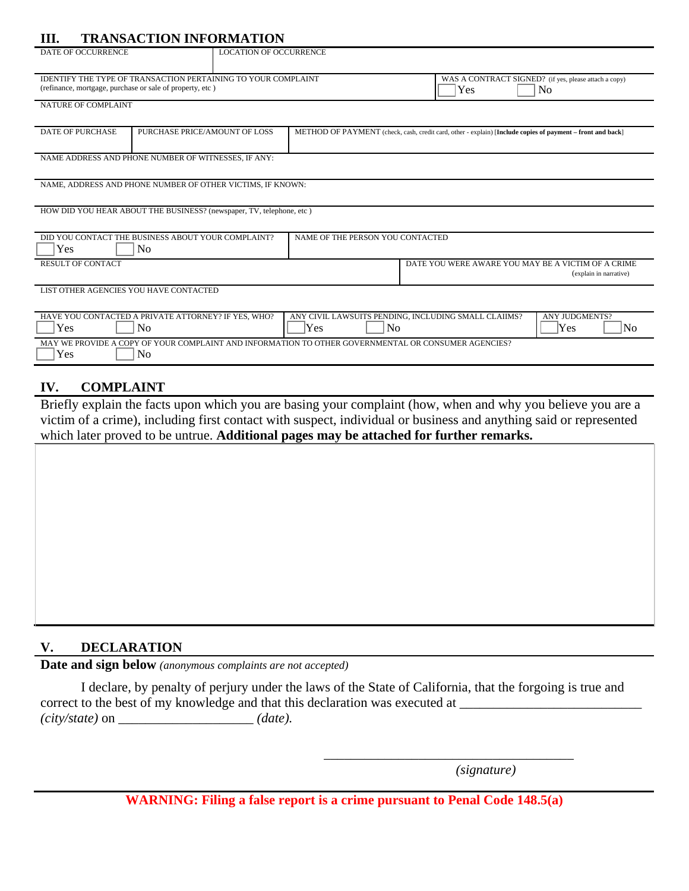#### **III. TRANSACTION INFORMATION**

| DATE OF OCCURRENCE                                                                                                               |                               | <b>LOCATION OF OCCURRENCE</b> |                                                                                                            |                                                                              |  |                                           |  |  |  |  |
|----------------------------------------------------------------------------------------------------------------------------------|-------------------------------|-------------------------------|------------------------------------------------------------------------------------------------------------|------------------------------------------------------------------------------|--|-------------------------------------------|--|--|--|--|
| <b>IDENTIFY THE TYPE OF TRANSACTION PERTAINING TO YOUR COMPLAINT</b><br>(refinance, mortgage, purchase or sale of property, etc) |                               |                               | WAS A CONTRACT SIGNED? (if yes, please attach a copy)<br>No<br>Yes                                         |                                                                              |  |                                           |  |  |  |  |
| NATURE OF COMPLAINT                                                                                                              |                               |                               |                                                                                                            |                                                                              |  |                                           |  |  |  |  |
| <b>DATE OF PURCHASE</b>                                                                                                          | PURCHASE PRICE/AMOUNT OF LOSS |                               | METHOD OF PAYMENT (check, cash, credit card, other - explain) [Include copies of payment – front and back] |                                                                              |  |                                           |  |  |  |  |
| NAME ADDRESS AND PHONE NUMBER OF WITNESSES, IF ANY:                                                                              |                               |                               |                                                                                                            |                                                                              |  |                                           |  |  |  |  |
| NAME, ADDRESS AND PHONE NUMBER OF OTHER VICTIMS, IF KNOWN:                                                                       |                               |                               |                                                                                                            |                                                                              |  |                                           |  |  |  |  |
| HOW DID YOU HEAR ABOUT THE BUSINESS? (newspaper, TV, telephone, etc)                                                             |                               |                               |                                                                                                            |                                                                              |  |                                           |  |  |  |  |
| DID YOU CONTACT THE BUSINESS ABOUT YOUR COMPLAINT?<br>NAME OF THE PERSON YOU CONTACTED<br>Yes<br>N <sub>0</sub>                  |                               |                               |                                                                                                            |                                                                              |  |                                           |  |  |  |  |
| <b>RESULT OF CONTACT</b>                                                                                                         |                               |                               |                                                                                                            | DATE YOU WERE AWARE YOU MAY BE A VICTIM OF A CRIME<br>(explain in narrative) |  |                                           |  |  |  |  |
| LIST OTHER AGENCIES YOU HAVE CONTACTED                                                                                           |                               |                               |                                                                                                            |                                                                              |  |                                           |  |  |  |  |
| HAVE YOU CONTACTED A PRIVATE ATTORNEY? IF YES, WHO?<br>Yes                                                                       | N <sub>0</sub>                |                               | ANY CIVIL LAWSUITS PENDING, INCLUDING SMALL CLAIIMS?<br>Yes                                                | N <sub>0</sub>                                                               |  | <b>ANY JUDGMENTS?</b><br>No<br><b>Yes</b> |  |  |  |  |
| MAY WE PROVIDE A COPY OF YOUR COMPLAINT AND INFORMATION TO OTHER GOVERNMENTAL OR CONSUMER AGENCIES?<br>Yes<br>N <sub>0</sub>     |                               |                               |                                                                                                            |                                                                              |  |                                           |  |  |  |  |
|                                                                                                                                  |                               |                               |                                                                                                            |                                                                              |  |                                           |  |  |  |  |

#### **IV. COMPLAINT**

Briefly explain the facts upon which you are basing your complaint (how, when and why you believe you are a victim of a crime), including first contact with suspect, individual or business and anything said or represented which later proved to be untrue. **Additional pages may be attached for further remarks.**

#### **V. DECLARATION**

**Date and sign below** *(anonymous complaints are not accepted)*

I declare, by penalty of perjury under the laws of the State of California, that the forgoing is true and correct to the best of my knowledge and that this declaration was executed at  $\frac{1}{\sqrt{2}}$ *(city/state)* on *\_\_\_\_\_\_\_\_\_\_\_\_\_\_\_\_\_\_\_\_ (date).* 

*(signature)* 

*\_\_\_\_\_\_\_\_\_\_\_\_\_\_\_\_\_\_\_\_\_\_\_\_\_\_\_\_\_\_\_\_\_\_\_\_\_* 

**WARNING: Filing a false report is a crime pursuant to Penal Code 148.5(a)**